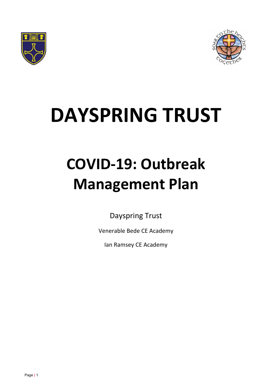



# **DAYSPRING TRUST**

# **COVID-19: Outbreak Management Plan**

Dayspring Trust

Venerable Bede CE Academy

Ian Ramsey CE Academy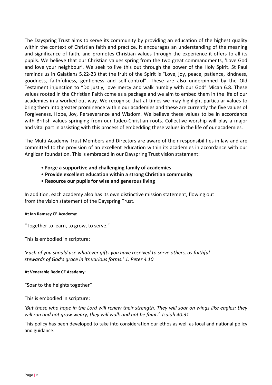The Dayspring Trust aims to serve its community by providing an education of the highest quality within the context of Christian faith and practice. It encourages an understanding of the meaning and significance of faith, and promotes Christian values through the experience it offers to all its pupils. We believe that our Christian values spring from the two great commandments, 'Love God and love your neighbour'. We seek to live this out through the power of the Holy Spirit. St Paul reminds us in Galatians 5.22-23 that the fruit of the Spirit is "Love, joy, peace, patience, kindness, goodness, faithfulness, gentleness and self-control". These are also underpinned by the Old Testament injunction to "Do justly, love mercy and walk humbly with our God" Micah 6.8. These values rooted in the Christian Faith come as a package and we aim to embed them in the life of our academies in a worked out way. We recognise that at times we may highlight particular values to bring them into greater prominence within our academies and these are currently the five values of Forgiveness, Hope, Joy, Perseverance and Wisdom. We believe these values to be in accordance with British values springing from our Judeo-Christian roots. Collective worship will play a major and vital part in assisting with this process of embedding these values in the life of our academies.

The Multi Academy Trust Members and Directors are aware of their responsibilities in law and are committed to the provision of an excellent education within its academies in accordance with our Anglican foundation. This is embraced in our Dayspring Trust vision statement:

- **Forge a supportive and challenging family of academies**
- **Provide excellent education within a strong Christian community**
- **Resource our pupils for wise and generous living**

In addition, each academy also has its own distinctive mission statement, flowing out from the vision statement of the Dayspring Trust.

#### **At Ian Ramsey CE Academy:**

"Together to learn, to grow, to serve."

This is embodied in scripture:

*'Each of you should use whatever gifts you have received to serve others, as faithful stewards of God's grace in its various forms.' 1. Peter 4.10*

#### **At Venerable Bede CE Academy:**

"Soar to the heights together"

This is embodied in scripture:

*'But those who hope in the Lord will renew their strength. They will soar on wings like eagles; they will run and not grow weary, they will walk and not be faint.' Isaiah 40:31*

This policy has been developed to take into consideration our ethos as well as local and national policy and guidance.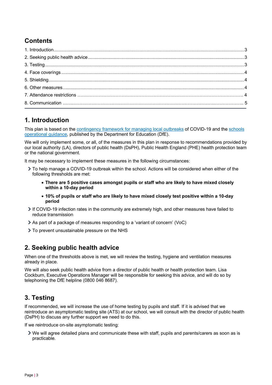# **Contents**

# **1. Introduction**

This plan is based on the contingency framework for managing local outbreaks of COVID-19 and the schools operational guidance, published by the Department for Education (DfE).

We will only implement some, or all, of the measures in this plan in response to recommendations provided by our local authority (LA), directors of public health (DsPH), Public Health England (PHE) health protection team or the national government.

It may be necessary to implement these measures in the following circumstances:

- To help manage a COVID-19 outbreak within the school. Actions will be considered when either of the following thresholds are met:
	- **There are 5 positive cases amongst pupils or staff who are likely to have mixed closely within a 10-day period**
	- **10% of pupils or staff who are likely to have mixed closely test positive within a 10-day period**
- If COVID-19 infection rates in the community are extremely high, and other measures have failed to reduce transmission
- As part of a package of measures responding to a 'variant of concern' (VoC)
- $\geq$  To prevent unsustainable pressure on the NHS

# **2. Seeking public health advice**

When one of the thresholds above is met, we will review the testing, hygiene and ventilation measures already in place.

We will also seek public health advice from a director of public health or health protection team. Lisa Cockburn, Executive Operations Manager will be responsible for seeking this advice, and will do so by telephoning the DfE helpline (0800 046 8687).

# **3. Testing**

If recommended, we will increase the use of home testing by pupils and staff. If it is advised that we reintroduce an asymptomatic testing site (ATS) at our school, we will consult with the director of public health (DsPH) to discuss any further support we need to do this.

If we reintroduce on-site asymptomatic testing:

We will agree detailed plans and communicate these with staff, pupils and parents/carers as soon as is practicable.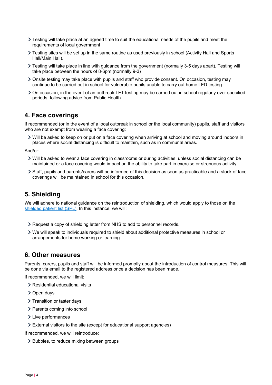- $\geq$  Testing will take place at an agreed time to suit the educational needs of the pupils and meet the requirements of local government
- Testing sites will be set up in the same routine as used previously in school (Activity Hall and Sports Hall/Main Hall).
- Testing will take place in line with guidance from the government (normally 3-5 days apart). Testing will take place between the hours of 8-6pm (normally 9-3)
- Onsite testing may take place with pupils and staff who provide consent. On occasion, testing may continue to be carried out in school for vulnerable pupils unable to carry out home LFD testing.
- On occasion, in the event of an outbreak LFT testing may be carried out in school regularly over specified periods, following advice from Public Health.

### **4. Face coverings**

If recommended (or in the event of a local outbreak in school or the local community) pupils, staff and visitors who are not exempt from wearing a face covering:

Will be asked to keep on or put on a face covering when arriving at school and moving around indoors in places where social distancing is difficult to maintain, such as in communal areas.

And/or:

- Will be asked to wear a face covering in classrooms or during activities, unless social distancing can be maintained or a face covering would impact on the ability to take part in exercise or strenuous activity.
- Staff, pupils and parents/carers will be informed of this decision as soon as practicable and a stock of face coverings will be maintained in school for this occasion.

# **5. Shielding**

We will adhere to national guidance on the reintroduction of shielding, which would apply to those on the shielded patient list (SPL). In this instance, we will:

- Request a copy of shielding letter from NHS to add to personnel records.
- We will speak to individuals required to shield about additional protective measures in school or arrangements for home working or learning.

### **6. Other measures**

Parents, carers, pupils and staff will be informed promptly about the introduction of control measures. This will be done via email to the registered address once a decision has been made.

If recommended, we will limit:

- > Residential educational visits
- > Open days
- > Transition or taster days
- > Parents coming into school
- > Live performances
- External visitors to the site (except for educational support agencies)

If recommended, we will reintroduce:

> Bubbles, to reduce mixing between groups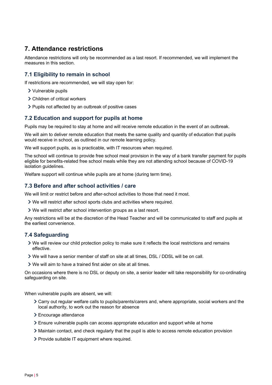# **7. Attendance restrictions**

Attendance restrictions will only be recommended as a last resort. If recommended, we will implement the measures in this section.

#### **7.1 Eligibility to remain in school**

If restrictions are recommended, we will stay open for:

- Vulnerable pupils
- Children of critical workers
- > Pupils not affected by an outbreak of positive cases

#### **7.2 Education and support for pupils at home**

Pupils may be required to stay at home and will receive remote education in the event of an outbreak.

We will aim to deliver remote education that meets the same quality and quantity of education that pupils would receive in school, as outlined in our remote learning policy.

We will support pupils, as is practicable, with IT resources when required.

The school will continue to provide free school meal provision in the way of a bank transfer payment for pupils eligible for benefits-related free school meals while they are not attending school because of COVID-19 isolation guidelines.

Welfare support will continue while pupils are at home (during term time).

#### **7.3 Before and after school activities / care**

We will limit or restrict before and after-school activities to those that need it most.

- We will restrict after school sports clubs and activities where required.
- We will restrict after school intervention groups as a last resort.

Any restrictions will be at the discretion of the Head Teacher and will be communicated to staff and pupils at the earliest convenience.

#### **7.4 Safeguarding**

- We will review our child protection policy to make sure it reflects the local restrictions and remains effective.
- We will have a senior member of staff on site at all times, DSL / DDSL will be on call.
- We will aim to have a trained first aider on site at all times.

On occasions where there is no DSL or deputy on site, a senior leader will take responsibility for co-ordinating safeguarding on site.

When vulnerable pupils are absent, we will:

- Carry out regular welfare calls to pupils/parents/carers and, where appropriate, social workers and the local authority, to work out the reason for absence
- Encourage attendance
- Ensure vulnerable pupils can access appropriate education and support while at home
- Maintain contact, and check regularly that the pupil is able to access remote education provision
- > Provide suitable IT equipment where required.